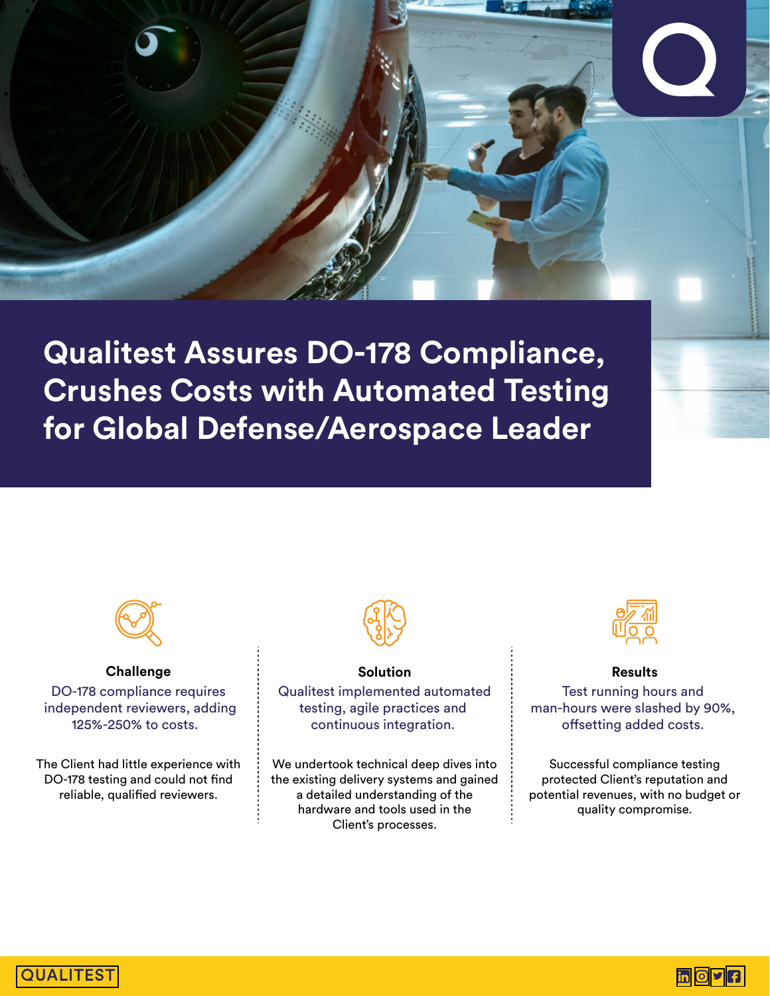

**Qualitest Assures DO-178 Compliance, Crushes Costs with Automated Testing for Global Defense/Aerospace Leader** 



**Challenge** DO-178 compliance requires independent reviewers, adding 125%-250% to costs.

The Client had little experience with DO-178 testing and could not find reliable, qualified reviewers.



**Solution**  Qualitest implemented automated testing, agile practices and continuous integration.

We undertook technical deep dives into the existing delivery systems and gained a detailed understanding of the hardware and tools used in the Client's processes.



**Results** 

Test running hours and man-hours were slashed by 90%, offsetting added costs.

Successful compliance testing protected Client's reputation and potential revenues, with no budget or quality compromise.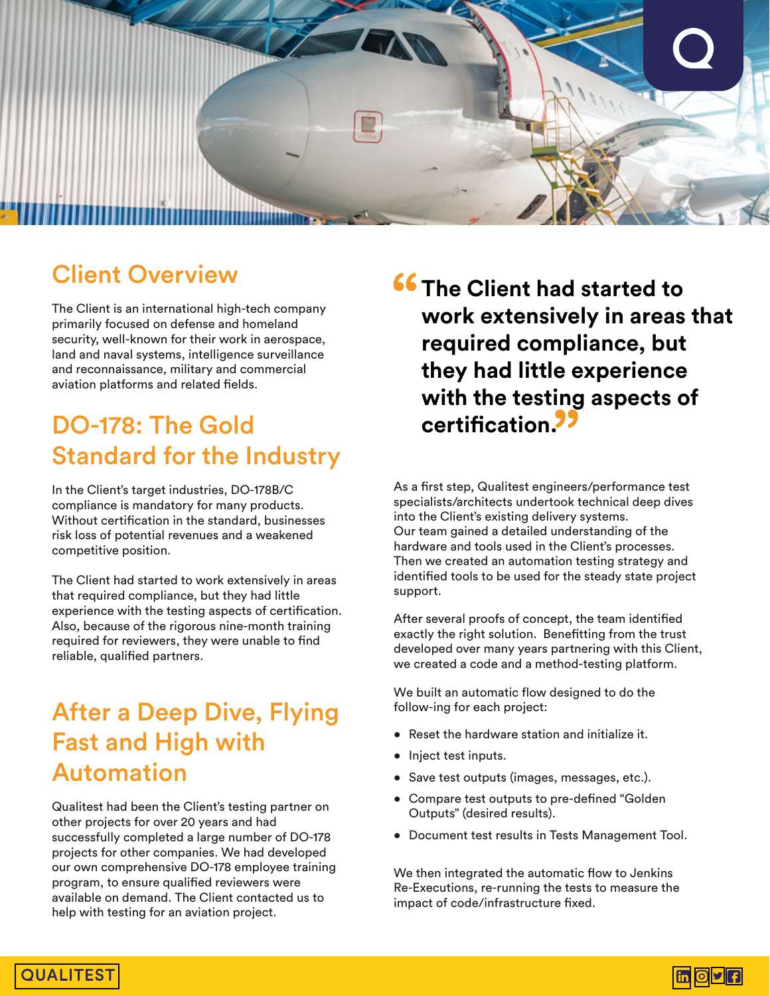

#### Client Overview

The Client is an international high-tech company primarily focused on defense and homeland security, well-known for their work in aerospace, land and naval systems, intelligence surveillance and reconnaissance, military and commercial aviation platforms and related fields.

### DO-178: The Gold Standard for the Industry

In the Client's target industries, DO-178B/C compliance is mandatory for many products. Without certification in the standard, businesses risk loss of potential revenues and a weakened competitive position.

The Client had started to work extensively in areas that required compliance, but they had little experience with the testing aspects of certification. Also, because of the rigorous nine-month training required for reviewers, they were unable to find reliable, qualified partners.

#### After a Deep Dive, Flying Fast and High with Automation

Qualitest had been the Client's testing partner on other projects for over 20 years and had successfully completed a large number of DO-178 projects for other companies. We had developed our own comprehensive DO-178 employee training program, to ensure qualified reviewers were available on demand. The Client contacted us to help with testing for an aviation project.

**f6 The Client had started to work extensively in areas that required compliance, but they had little experience with the testing aspects of certication.** 

As a first step, Qualitest engineers/performance test specialists/architects undertook technical deep dives into the Client's existing delivery systems. Our team gained a detailed understanding of the hardware and tools used in the Client's processes. Then we created an automation testing strategy and identified tools to be used for the steady state project support.

After several proofs of concept, the team identified exactly the right solution. Benefitting from the trust developed over many years partnering with this Client, we created a code and a method-testing platform.

We built an automatic flow designed to do the follow-ing for each project:

- Reset the hardware station and initialize it.
- Inject test inputs.
- Save test outputs (images, messages, etc.).
- Compare test outputs to pre-defined "Golden Outputs" (desired results).
- Document test results in Tests Management Tool.

We then integrated the automatic flow to Jenkins Re-Executions, re-running the tests to measure the impact of code/infrastructure fixed.